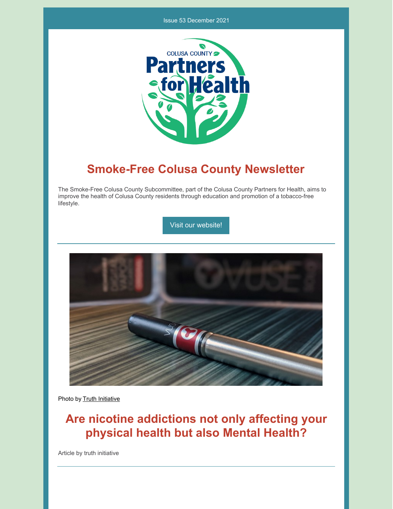#### Issue 53 December 2021



## **Smoke-Free Colusa County Newsletter**

The Smoke-Free Colusa County Subcommittee, part of the Colusa County Partners for Health, aims to improve the health of Colusa County residents through education and promotion of a tobacco-free lifestyle.

Visit our [website!](https://www.countyofcolusa.org/index.aspx?NID=580)



Photo by Truth [Initiative](https://truthinitiative.org/search?search_query=vaping&op=Submit&page=1)

# **Are nicotine addictions not only affecting your physical health but also Mental Health?**

Article by truth initiative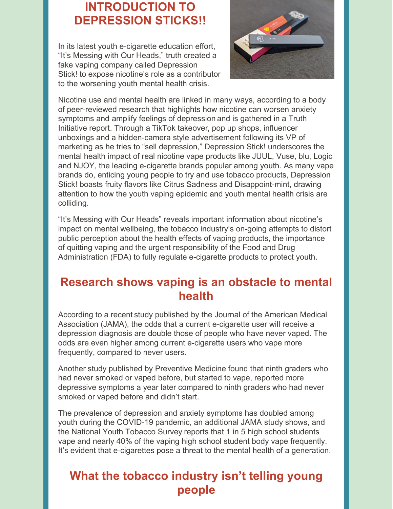## **INTRODUCTION TO DEPRESSION STICKS!!**

In its latest youth e-cigarette education effort, "It's Messing with Our Heads," truth created a fake vaping company called [Depression](http://depressionstick.com/) Stick! to expose nicotine's role as a contributor to the worsening youth mental health crisis.



Nicotine use and mental health are linked in many ways, according to a body of [peer-reviewed](https://www.ncbi.nlm.nih.gov/pmc/articles/PMC4600451/) research that highlights how nicotine can worsen anxiety symptoms and amplify feelings of [depression](https://www.ncbi.nlm.nih.gov/pmc/articles/PMC5510594/) and is gathered in a Truth Initiative [report](https://truthinitiative.org/sites/default/files/media/files/2021/09/Mental-Health-and-Nicotine-Report.pdf). Through a TikTok [takeover](https://www.tiktok.com/@MS4wLjABAAAA3GBklHVtmUK37flnjlL7J-epKkp_p3LYZqcQMLaNkSn_ROro7xOtxt_2iMqC4sGy/video/7008902222033603841?language=en&preview_pb=0&sec_user_id=MS4wLjABAAAAQn9eG6sQo1chQS7Ce5Jo5DXbAHaYJpZr3iIKYZhf2reibcKJjLGSW4o-zFwGqiD4&share_app_id=1233&share_link_id=bdf26ffa-72d3-4946-a3b4-9b5d8be24104×tamp=1632028694&u_code=dbia5f5bgg4h61&user_id=6811108613869011974&utm_campaign=client_share&utm_medium=android&utm_source=copy&source=h5_m&_r=1), pop up shops, influencer unboxings and a hidden-camera style advertisement following its VP of marketing as he tries to "sell depression," Depression Stick! underscores the mental health impact of real nicotine vape products like JUUL, Vuse, blu, Logic and NJOY, the leading e-cigarette brands popular among youth. As many vape brands do, enticing young people to try and use tobacco products, Depression Stick! boasts fruity flavors like Citrus Sadness and Disappoint-mint, drawing attention to how the youth vaping epidemic and youth mental health crisis are colliding.

"It's Messing with Our Heads" reveals important information about nicotine's impact on mental wellbeing, the tobacco industry's on-going attempts to distort public perception about the health effects of vaping products, the importance of quitting vaping and the urgent responsibility of the Food and Drug Administration (FDA) to fully regulate e-cigarette products to protect youth.

#### **Research shows vaping is an obstacle to mental health**

According to a recent [study](https://jamanetwork.com/journals/jamanetworkopen/fullarticle/2756260) published by the Journal of the American Medical Association (JAMA), the odds that a current e-cigarette user will receive a depression diagnosis are double those of people who have never vaped. The odds are even higher among current e-cigarette users who vape more frequently, compared to never users.

Another [study](https://pubmed.ncbi.nlm.nih.gov/28024859/) published by Preventive Medicine found that ninth graders who had never smoked or vaped before, but started to vape, reported more depressive symptoms a year later compared to ninth graders who had never smoked or vaped before and didn't start.

The prevalence of depression and anxiety symptoms has doubled among youth during the COVID-19 pandemic, an additional JAMA [study](https://truthinitiative.org/sites/default/files/media/files/2021/09/Mental-Health-and-Nicotine-Report.pdf) shows, and the National Youth [Tobacco](https://www.cdc.gov/mmwr/volumes/69/wr/mm6937e1.htm?s_cid=mm6937e1_w) Survey reports that 1 in 5 high school students vape and nearly 40% of the vaping high school student body vape frequently. It's evident that e-cigarettes pose a threat to the mental health of a generation.

## **What the tobacco industry isn't telling young people**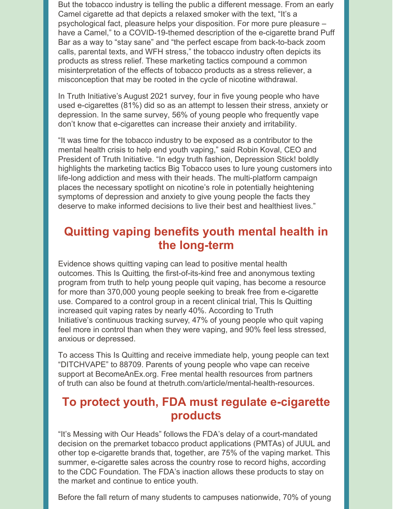But the tobacco industry is telling the public a different message. From an early Camel cigarette ad that depicts a relaxed smoker with the text, "It's a psychological fact, pleasure helps your disposition. For more pure pleasure – have a Camel," to a COVID-19-themed description of the e-cigarette brand Puff Bar as a way to "stay sane" and "the perfect escape from back-to-back zoom calls, parental texts, and WFH stress," the tobacco industry often depicts its products as stress relief. These marketing tactics compound a common misinterpretation of the effects of tobacco products as a stress reliever, a misconception that may be rooted in the cycle of nicotine withdrawal.

In Truth Initiative's [August](https://truthinitiative.org/research-resources/emerging-tobacco-products/colliding-crises-youth-mental-health-and-nicotine-use) 2021 survey, four in five young people who have used e-cigarettes (81%) did so as an attempt to lessen their stress, anxiety or depression. In the same survey, 56% of young people who frequently vape don't know that e-cigarettes can increase their anxiety and irritability.

"It was time for the tobacco industry to be exposed as a contributor to the mental health crisis to help end youth vaping," said Robin Koval, CEO and President of Truth Initiative. "In edgy truth fashion, Depression Stick! boldly highlights the marketing tactics Big Tobacco uses to lure young customers into life-long addiction and mess with their heads. The multi-platform campaign places the necessary spotlight on nicotine's role in potentially heightening symptoms of depression and anxiety to give young people the facts they deserve to make informed decisions to live their best and healthiest lives."

## **Quitting vaping benefits youth mental health in the long-term**

Evidence shows quitting vaping can lead to positive mental health outcomes. This Is [Quitting](https://truthinitiative.org/thisisquitting), the first-of-its-kind free and anonymous texting program from truth to help young people quit vaping, has become a resource for more than 370,000 young people seeking to break free from e-cigarette use. Compared to a control group in a recent clinical trial, This Is Quitting increased quit vaping rates by nearly 40%. According to Truth Initiative's [continuous](https://truthinitiative.org/research-resources/emerging-tobacco-products/colliding-crises-youth-mental-health-and-nicotine-use) tracking survey, 47% of young people who quit vaping feel more in control than when they were vaping, and 90% feel less stressed, anxious or depressed.

To access This Is Quitting and receive immediate help, young people can text "DITCHVAPE" to 88709. Parents of young people who vape can receive support at BecomeAnEx.org. Free mental health resources from partners of truth can also be found at [thetruth.com/article/mental-health-resources](http://thetruth.com/article/mental-health-resources).

## **To protect youth, FDA must regulate e-cigarette products**

"It's Messing with Our Heads" follows the FDA's delay of a [court-mandated](https://truthinitiative.org/press/press-release/fdas-delay-largest-e-cigarette-companies-applications-allows-top-brands-75) decision on the premarket tobacco product applications (PMTAs) of JUUL and other top e-cigarette brands that, together, are 75% of the vaping market. This summer, e-cigarette sales across the country rose to record highs, according to the CDC [Foundation](https://www.cdcfoundation.org/programs/monitoring-e-cigarette-use-among-youth). The FDA's inaction allows these products to stay on the market and continue to entice youth.

Before the fall return of many students to campuses nationwide, 70% of young